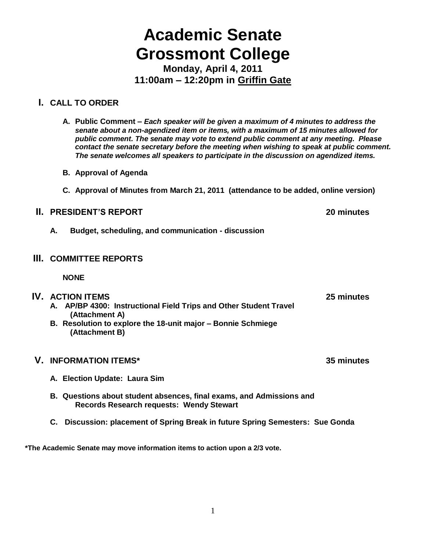# **Academic Senate Grossmont College**

**Monday, April 4, 2011 11:00am – 12:20pm in Griffin Gate**

# **I. CALL TO ORDER**

- **A. Public Comment –** *Each speaker will be given a maximum of 4 minutes to address the senate about a non-agendized item or items, with a maximum of 15 minutes allowed for public comment. The senate may vote to extend public comment at any meeting. Please contact the senate secretary before the meeting when wishing to speak at public comment. The senate welcomes all speakers to participate in the discussion on agendized items.*
- **B. Approval of Agenda**
- **C. Approval of Minutes from March 21, 2011 (attendance to be added, online version)**

# **II. PRESIDENT'S REPORT 20 minutes**

**A. Budget, scheduling, and communication - discussion**

# **III. COMMITTEE REPORTS**

**NONE**

#### **IV. ACTION ITEMS 25 minutes A. AP/BP 4300: Instructional Field Trips and Other Student Travel**

**(Attachment A) B. Resolution to explore the 18-unit major – Bonnie Schmiege (Attachment B)**

# **V. INFORMATION ITEMS\* 35 minutes**

- **A. Election Update: Laura Sim**
- **B. Questions about student absences, final exams, and Admissions and Records Research requests: Wendy Stewart**
- **C. Discussion: placement of Spring Break in future Spring Semesters: Sue Gonda**

**\*The Academic Senate may move information items to action upon a 2/3 vote.**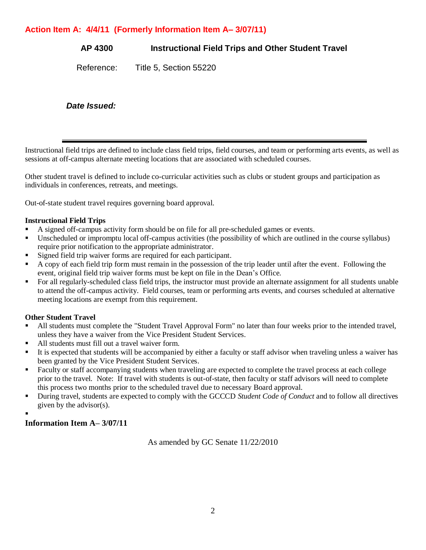# **Action Item A: 4/4/11 (Formerly Information Item A– 3/07/11)**

**AP 4300 Instructional Field Trips and Other Student Travel**

Reference: Title 5, Section 55220

*Date Issued:*

Instructional field trips are defined to include class field trips, field courses, and team or performing arts events, as well as sessions at off-campus alternate meeting locations that are associated with scheduled courses.

Other student travel is defined to include co-curricular activities such as clubs or student groups and participation as individuals in conferences, retreats, and meetings.

Out-of-state student travel requires governing board approval.

### **Instructional Field Trips**

- A signed off-campus activity form should be on file for all pre-scheduled games or events.
- Unscheduled or impromptu local off-campus activities (the possibility of which are outlined in the course syllabus) require prior notification to the appropriate administrator.
- Signed field trip waiver forms are required for each participant.
- A copy of each field trip form must remain in the possession of the trip leader until after the event. Following the event, original field trip waiver forms must be kept on file in the Dean's Office.
- For all regularly-scheduled class field trips, the instructor must provide an alternate assignment for all students unable to attend the off-campus activity. Field courses, team or performing arts events, and courses scheduled at alternative meeting locations are exempt from this requirement.

## **Other Student Travel**

- All students must complete the "Student Travel Approval Form" no later than four weeks prior to the intended travel, unless they have a waiver from the Vice President Student Services.
- All students must fill out a travel waiver form.
- It is expected that students will be accompanied by either a faculty or staff advisor when traveling unless a waiver has been granted by the Vice President Student Services.
- Faculty or staff accompanying students when traveling are expected to complete the travel process at each college prior to the travel. Note: If travel with students is out-of-state, then faculty or staff advisors will need to complete this process two months prior to the scheduled travel due to necessary Board approval.
- During travel, students are expected to comply with the GCCCD *Student Code of Conduct* and to follow all directives given by the advisor(s).
- .

## **Information Item A– 3/07/11**

As amended by GC Senate 11/22/2010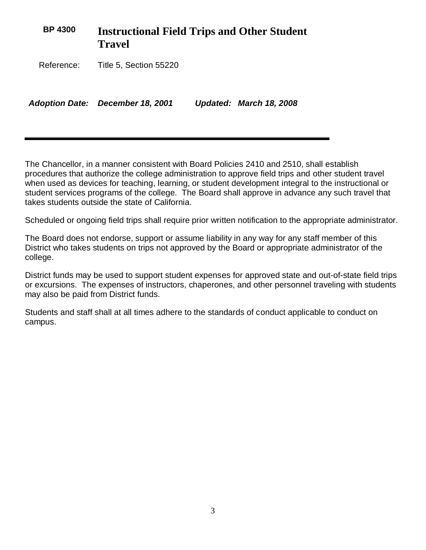| <b>BP 4300</b> | <b>Instructional Field Trips and Other Student</b><br><b>Travel</b> |  |                         |
|----------------|---------------------------------------------------------------------|--|-------------------------|
| Reference:     | Title 5, Section 55220                                              |  |                         |
|                | <b>Adoption Date: December 18, 2001</b>                             |  | Updated: March 18, 2008 |

The Chancellor, in a manner consistent with Board Policies 2410 and 2510, shall establish procedures that authorize the college administration to approve field trips and other student travel when used as devices for teaching, learning, or student development integral to the instructional or student services programs of the college. The Board shall approve in advance any such travel that takes students outside the state of California.

Scheduled or ongoing field trips shall require prior written notification to the appropriate administrator.

The Board does not endorse, support or assume liability in any way for any staff member of this District who takes students on trips not approved by the Board or appropriate administrator of the college.

District funds may be used to support student expenses for approved state and out-of-state field trips or excursions. The expenses of instructors, chaperones, and other personnel traveling with students may also be paid from District funds.

Students and staff shall at all times adhere to the standards of conduct applicable to conduct on campus.